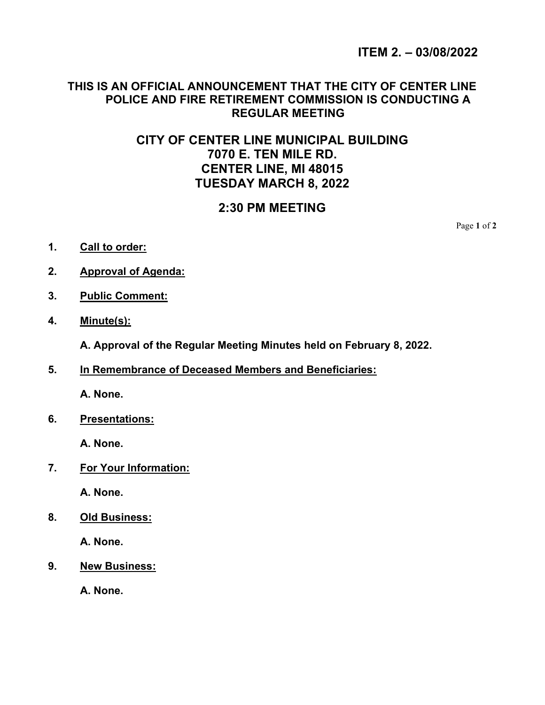ITEM 2. – 03/08/2022

### THIS IS AN OFFICIAL ANNOUNCEMENT THAT THE CITY OF CENTER LINE POLICE AND FIRE RETIREMENT COMMISSION IS CONDUCTING A REGULAR MEETING

# CITY OF CENTER LINE MUNICIPAL BUILDING 7070 E. TEN MILE RD. CENTER LINE, MI 48015 TUESDAY MARCH 8, 2022

## 2:30 PM MEETING

Page 1 of 2

- 1. Call to order:
- 2. Approval of Agenda:
- 3. Public Comment:
- 4. Minute(s):

A. Approval of the Regular Meeting Minutes held on February 8, 2022.

5. In Remembrance of Deceased Members and Beneficiaries:

A. None.

6. Presentations:

A. None.

7. For Your Information:

A. None.

8. Old Business:

A. None.

9. New Business:

A. None.